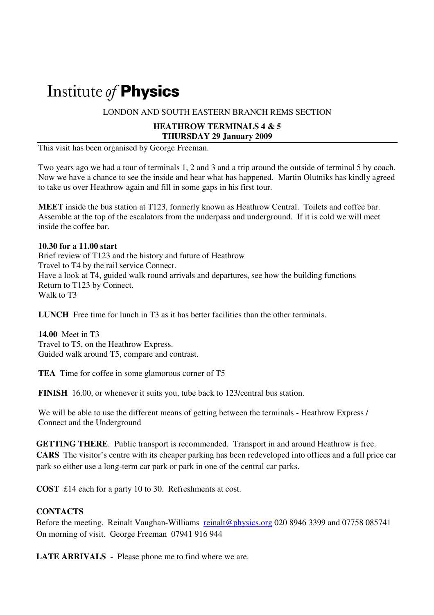# Institute of Physics

LONDON AND SOUTH EASTERN BRANCH REMS SECTION

#### **HEATHROW TERMINALS 4 & 5 THURSDAY 29 January 2009**

This visit has been organised by George Freeman.

Two years ago we had a tour of terminals 1, 2 and 3 and a trip around the outside of terminal 5 by coach. Now we have a chance to see the inside and hear what has happened. Martin Olutniks has kindly agreed to take us over Heathrow again and fill in some gaps in his first tour.

**MEET** inside the bus station at T123, formerly known as Heathrow Central. Toilets and coffee bar. Assemble at the top of the escalators from the underpass and underground. If it is cold we will meet inside the coffee bar.

#### **10.30 for a 11.00 start**

Brief review of T123 and the history and future of Heathrow Travel to T4 by the rail service Connect. Have a look at T4, guided walk round arrivals and departures, see how the building functions Return to T123 by Connect. Walk to T3

**LUNCH** Free time for lunch in T<sub>3</sub> as it has better facilities than the other terminals.

**14.00** Meet in T3 Travel to T5, on the Heathrow Express. Guided walk around T5, compare and contrast.

**TEA** Time for coffee in some glamorous corner of T5

**FINISH** 16.00, or whenever it suits you, tube back to 123/central bus station.

We will be able to use the different means of getting between the terminals - Heathrow Express / Connect and the Underground

**GETTING THERE**. Public transport is recommended. Transport in and around Heathrow is free. **CARS** The visitor's centre with its cheaper parking has been redeveloped into offices and a full price car park so either use a long-term car park or park in one of the central car parks.

**COST** £14 each for a party 10 to 30. Refreshments at cost.

#### **CONTACTS**

Before the meeting. Reinalt Vaughan-Williams reinalt@physics.org 020 8946 3399 and 07758 085741 On morning of visit. George Freeman 07941 916 944

**LATE ARRIVALS -** Please phone me to find where we are.